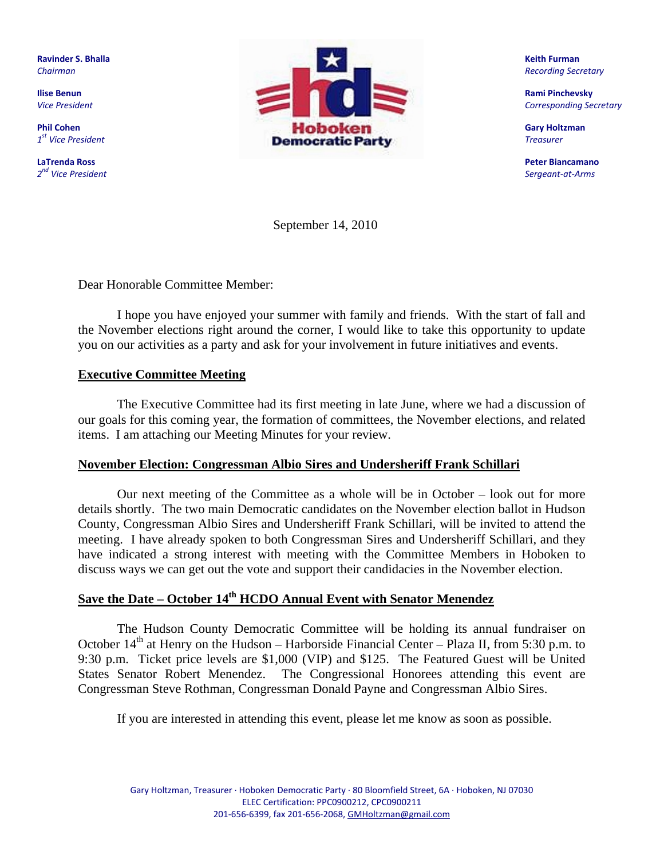**Ravinder S. Bhalla** *Chairman*

**Ilise Benun** *Vice President*

**Phil Cohen** *1st Vice President*

**LaTrenda Ross** *2nd Vice President*



**Keith Furman**  *Recording Secretary*

**Rami Pinchevsky** *Corresponding Secretary*

**Gary Holtzman** *Treasurer*

**Peter Biancamano**  *Sergeant‐at‐Arms*

September 14, 2010

Dear Honorable Committee Member:

 I hope you have enjoyed your summer with family and friends. With the start of fall and the November elections right around the corner, I would like to take this opportunity to update you on our activities as a party and ask for your involvement in future initiatives and events.

#### **Executive Committee Meeting**

The Executive Committee had its first meeting in late June, where we had a discussion of our goals for this coming year, the formation of committees, the November elections, and related items. I am attaching our Meeting Minutes for your review.

#### **November Election: Congressman Albio Sires and Undersheriff Frank Schillari**

Our next meeting of the Committee as a whole will be in October – look out for more details shortly. The two main Democratic candidates on the November election ballot in Hudson County, Congressman Albio Sires and Undersheriff Frank Schillari, will be invited to attend the meeting. I have already spoken to both Congressman Sires and Undersheriff Schillari, and they have indicated a strong interest with meeting with the Committee Members in Hoboken to discuss ways we can get out the vote and support their candidacies in the November election.

## **Save the Date – October 14th HCDO Annual Event with Senator Menendez**

The Hudson County Democratic Committee will be holding its annual fundraiser on October  $14<sup>th</sup>$  at Henry on the Hudson – Harborside Financial Center – Plaza II, from 5:30 p.m. to 9:30 p.m. Ticket price levels are \$1,000 (VIP) and \$125. The Featured Guest will be United States Senator Robert Menendez. The Congressional Honorees attending this event are Congressman Steve Rothman, Congressman Donald Payne and Congressman Albio Sires.

If you are interested in attending this event, please let me know as soon as possible.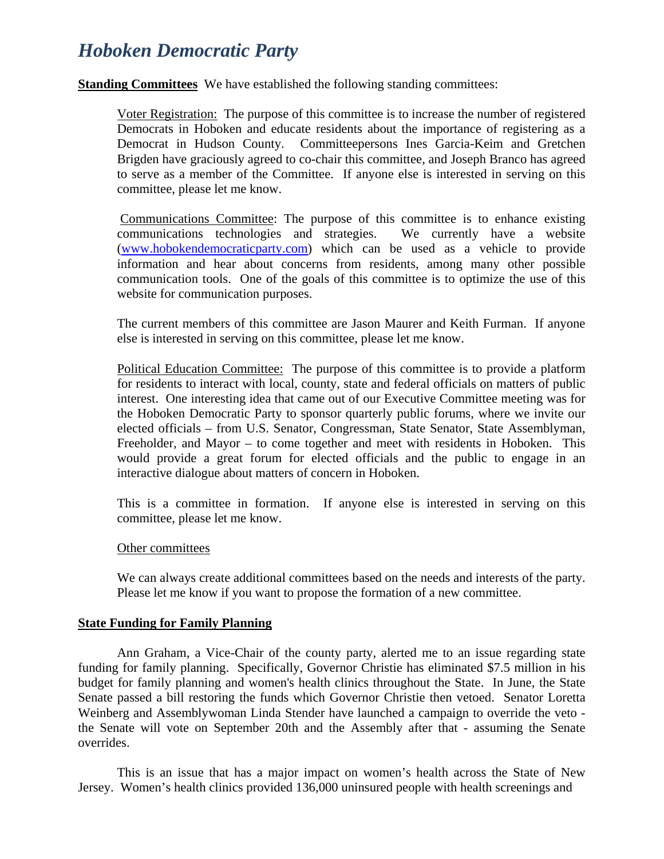# *Hoboken Democratic Party*

**Standing Committees** We have established the following standing committees:

Voter Registration: The purpose of this committee is to increase the number of registered Democrats in Hoboken and educate residents about the importance of registering as a Democrat in Hudson County. Committeepersons Ines Garcia-Keim and Gretchen Brigden have graciously agreed to co-chair this committee, and Joseph Branco has agreed to serve as a member of the Committee. If anyone else is interested in serving on this committee, please let me know.

 Communications Committee: The purpose of this committee is to enhance existing communications technologies and strategies. We currently have a website (www.hobokendemocraticparty.com) which can be used as a vehicle to provide information and hear about concerns from residents, among many other possible communication tools. One of the goals of this committee is to optimize the use of this website for communication purposes.

The current members of this committee are Jason Maurer and Keith Furman. If anyone else is interested in serving on this committee, please let me know.

Political Education Committee: The purpose of this committee is to provide a platform for residents to interact with local, county, state and federal officials on matters of public interest. One interesting idea that came out of our Executive Committee meeting was for the Hoboken Democratic Party to sponsor quarterly public forums, where we invite our elected officials – from U.S. Senator, Congressman, State Senator, State Assemblyman, Freeholder, and Mayor – to come together and meet with residents in Hoboken. This would provide a great forum for elected officials and the public to engage in an interactive dialogue about matters of concern in Hoboken.

This is a committee in formation. If anyone else is interested in serving on this committee, please let me know.

#### Other committees

We can always create additional committees based on the needs and interests of the party. Please let me know if you want to propose the formation of a new committee.

#### **State Funding for Family Planning**

 Ann Graham, a Vice-Chair of the county party, alerted me to an issue regarding state funding for family planning. Specifically, Governor Christie has eliminated \$7.5 million in his budget for family planning and women's health clinics throughout the State. In June, the State Senate passed a bill restoring the funds which Governor Christie then vetoed. Senator Loretta Weinberg and Assemblywoman Linda Stender have launched a campaign to override the veto the Senate will vote on September 20th and the Assembly after that - assuming the Senate overrides.

This is an issue that has a major impact on women's health across the State of New Jersey. Women's health clinics provided 136,000 uninsured people with health screenings and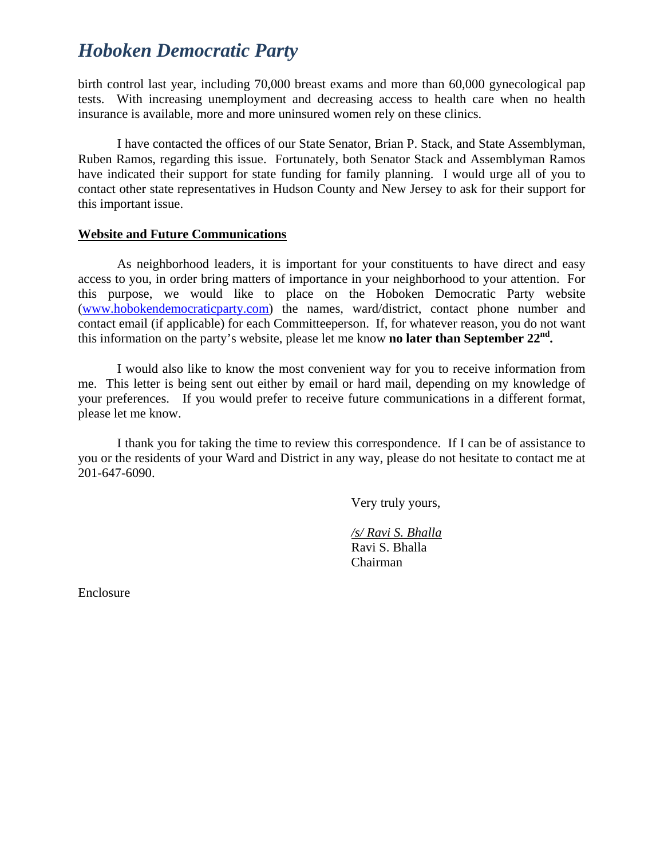# *Hoboken Democratic Party*

birth control last year, including 70,000 breast exams and more than 60,000 gynecological pap tests. With increasing unemployment and decreasing access to health care when no health insurance is available, more and more uninsured women rely on these clinics.

I have contacted the offices of our State Senator, Brian P. Stack, and State Assemblyman, Ruben Ramos, regarding this issue. Fortunately, both Senator Stack and Assemblyman Ramos have indicated their support for state funding for family planning. I would urge all of you to contact other state representatives in Hudson County and New Jersey to ask for their support for this important issue.

#### **Website and Future Communications**

As neighborhood leaders, it is important for your constituents to have direct and easy access to you, in order bring matters of importance in your neighborhood to your attention. For this purpose, we would like to place on the Hoboken Democratic Party website (www.hobokendemocraticparty.com) the names, ward/district, contact phone number and contact email (if applicable) for each Committeeperson. If, for whatever reason, you do not want this information on the party's website, please let me know **no later than September 22nd.** 

I would also like to know the most convenient way for you to receive information from me. This letter is being sent out either by email or hard mail, depending on my knowledge of your preferences. If you would prefer to receive future communications in a different format, please let me know.

I thank you for taking the time to review this correspondence. If I can be of assistance to you or the residents of your Ward and District in any way, please do not hesitate to contact me at 201-647-6090.

Very truly yours,

 */s/ Ravi S. Bhalla* Ravi S. Bhalla Chairman

Enclosure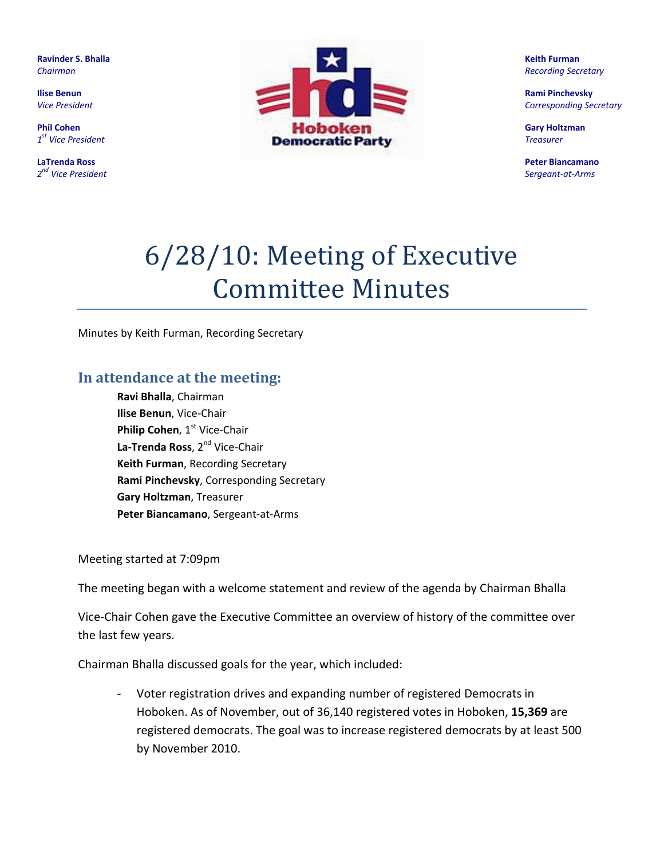**Ravinder S. Bhalla** *Chairman*

**Ilise Benun** *Vice President*

**Phil Cohen** *1st Vice President*

**LaTrenda Ross** *2nd Vice President*



**Keith Furman**  *Recording Secretary*

**Rami Pinchevsky** *Corresponding Secretary*

**Gary Holtzman** *Treasurer*

**Peter Biancamano**  *Sergeant‐at‐Arms*

# 6/28/10: Meeting of Executive Committee Minutes

Minutes by Keith Furman, Recording Secretary

## **In attendance at the meeting:**

**Ravi Bhalla**, Chairman **Ilise Benun**, Vice‐Chair **Philip Cohen**, 1<sup>st</sup> Vice-Chair **La‐Trenda Ross**, 2nd Vice‐Chair **Keith Furman**, Recording Secretary **Rami Pinchevsky**, Corresponding Secretary **Gary Holtzman**, Treasurer **Peter Biancamano**, Sergeant‐at‐Arms

Meeting started at 7:09pm

The meeting began with a welcome statement and review of the agenda by Chairman Bhalla

Vice‐Chair Cohen gave the Executive Committee an overview of history of the committee over the last few years.

Chairman Bhalla discussed goals for the year, which included:

‐ Voter registration drives and expanding number of registered Democrats in Hoboken. As of November, out of 36,140 registered votes in Hoboken, **15,369** are registered democrats. The goal was to increase registered democrats by at least 500 by November 2010.